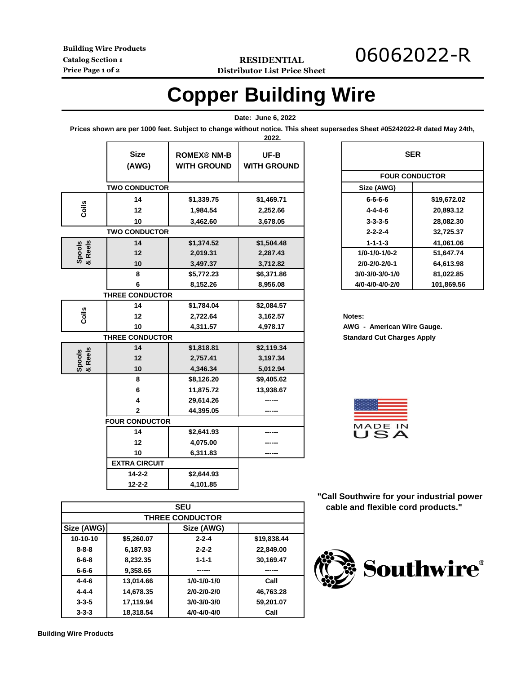**Building Wire Products Catalog Section 1 RESIDENTIAL Price Page 1 of 2 Distributor List Price Sheet**

### 06062022-R

## **Copper Building Wire**

 **Date: June 6, 2022** 

**Prices shown are per 1000 feet. Subject to change without notice. This sheet supersedes Sheet #05242022-R dated May 24th,** 

|                   |                        |                                          | 2022.                      |                                   |                       |  |
|-------------------|------------------------|------------------------------------------|----------------------------|-----------------------------------|-----------------------|--|
|                   | <b>Size</b><br>(AWG)   | <b>ROMEX® NM-B</b><br><b>WITH GROUND</b> | UF-B<br><b>WITH GROUND</b> | <b>SER</b>                        |                       |  |
|                   |                        |                                          |                            |                                   | <b>FOUR CONDUCTOR</b> |  |
|                   | <b>TWO CONDUCTOR</b>   |                                          |                            | Size (AWG)                        |                       |  |
|                   | 14                     | \$1,339.75                               | \$1,469.71                 | $6 - 6 - 6 - 6$                   | \$19,672.02           |  |
| Coils             | 12                     | 1,984.54                                 | 2,252.66                   | $4 - 4 - 4 - 6$                   | 20,893.12             |  |
|                   | 10                     | 3,462.60                                 | 3,678.05                   | $3 - 3 - 3 - 5$                   | 28,082.30             |  |
|                   | <b>TWO CONDUCTOR</b>   |                                          |                            | $2 - 2 - 2 - 4$                   | 32,725.37             |  |
|                   | 14                     | \$1,374.52                               | \$1,504.48                 | $1 - 1 - 1 - 3$                   | 41,061.06             |  |
| Spools<br>& Reels | 12                     | 2,019.31                                 | 2,287.43                   | $1/0 - 1/0 - 1/0 - 2$             | 51,647.74             |  |
|                   | 10                     | 3,497.37                                 | 3,712.82                   | $2/0 - 2/0 - 2/0 - 1$             | 64,613.98             |  |
|                   | 8                      | \$5,772.23                               | \$6,371.86                 | 3/0-3/0-3/0-1/0                   | 81,022.85             |  |
|                   | 6                      | 8,152.26                                 | 8,956.08                   | 4/0-4/0-4/0-2/0                   | 101,869.56            |  |
|                   | <b>THREE CONDUCTOR</b> |                                          |                            |                                   |                       |  |
| Coils             | 14                     | \$1,784.04                               | \$2,084.57                 |                                   |                       |  |
|                   | 12                     | 2,722.64                                 | 3,162.57                   | Notes:                            |                       |  |
|                   | 10                     | 4,311.57                                 | 4,978.17                   | AWG - American Wire Gauge.        |                       |  |
|                   | <b>THREE CONDUCTOR</b> |                                          |                            | <b>Standard Cut Charges Apply</b> |                       |  |
| Spools<br>& Reels | 14                     | \$1,818.81                               | \$2,119.34                 |                                   |                       |  |
|                   | 12                     | 2,757.41                                 | 3,197.34                   |                                   |                       |  |
|                   | 10                     | 4,346.34                                 | 5,012.94                   |                                   |                       |  |
|                   | 8                      | \$8,126.20                               | \$9,405.62                 |                                   |                       |  |
|                   | 6                      | 11,875.72                                | 13,938.67                  |                                   |                       |  |
|                   | 4                      | 29,614.26                                |                            |                                   |                       |  |
|                   | $\overline{2}$         | 44,395.05                                |                            |                                   |                       |  |
|                   | <b>FOUR CONDUCTOR</b>  |                                          |                            | MADE IN                           |                       |  |
|                   | 14                     | \$2,641.93                               |                            | USA                               |                       |  |
|                   | 12                     | 4,075.00                                 |                            |                                   |                       |  |
|                   | 10                     | 6,311.83                                 |                            |                                   |                       |  |
|                   | <b>EXTRA CIRCUIT</b>   |                                          |                            |                                   |                       |  |
|                   | $14 - 2 - 2$           | \$2,644.93                               |                            |                                   |                       |  |
|                   | $12 - 2 - 2$           | 4,101.85                                 |                            |                                   |                       |  |

| <b>SER</b>              |             |  |  |  |
|-------------------------|-------------|--|--|--|
| <b>FOUR CONDUCTOR</b>   |             |  |  |  |
| Size (AWG)              |             |  |  |  |
| 6-6-6-6                 | \$19,672.02 |  |  |  |
| 4-4-4-6                 | 20,893.12   |  |  |  |
| $3 - 3 - 3 - 5$         | 28,082.30   |  |  |  |
| $2 - 2 - 2 - 4$         | 32,725.37   |  |  |  |
| $1 - 1 - 1 - 3$         | 41,061.06   |  |  |  |
| $1/0 - 1/0 - 1/0 - 2$   | 51,647.74   |  |  |  |
| $2/0 - 2/0 - 2/0 - 1$   | 64,613.98   |  |  |  |
| $3/0 - 3/0 - 3/0 - 1/0$ | 81,022.85   |  |  |  |
| 4/0-4/0-4/0-2/0         | 101,869.56  |  |  |  |

| м. | ≏ | ) Е. |  |
|----|---|------|--|
|    |   |      |  |

 **"Call Southwire for your industrial power** cable and flexible cord products."

| Southwire® |
|------------|
|------------|

| <b>SEU</b>             |            |                   |             |  |  |  |  |
|------------------------|------------|-------------------|-------------|--|--|--|--|
| <b>THREE CONDUCTOR</b> |            |                   |             |  |  |  |  |
| Size (AWG)             |            | Size (AWG)        |             |  |  |  |  |
| 10-10-10               | \$5,260.07 | $2 - 2 - 4$       | \$19,838.44 |  |  |  |  |
| $8 - 8 - 8$            | 6,187.93   | $2 - 2 - 2$       | 22,849.00   |  |  |  |  |
| $6 - 6 - 8$            | 8.232.35   | $1 - 1 - 1$       | 30,169.47   |  |  |  |  |
| $6 - 6 - 6$            | 9,358.65   |                   |             |  |  |  |  |
| $4 - 4 - 6$            | 13,014.66  | $1/0 - 1/0 - 1/0$ | Call        |  |  |  |  |
| $4 - 4 - 4$            | 14,678.35  | $2/0 - 2/0 - 2/0$ | 46,763.28   |  |  |  |  |
| $3 - 3 - 5$            | 17,119.94  | $3/0 - 3/0 - 3/0$ | 59,201.07   |  |  |  |  |
| $3 - 3 - 3$            | 18.318.54  | $4/0 - 4/0 - 4/0$ | Call        |  |  |  |  |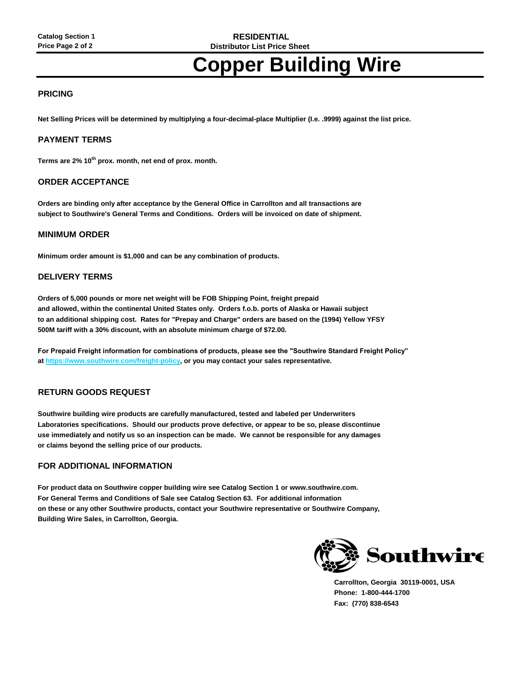**Catalog Section 1 RESIDENTIAL Price Page 2 of 2 Distributor List Price Sheet**

# **Copper Building Wire**

### **PRICING**

**Net Selling Prices will be determined by multiplying a four-decimal-place Multiplier (I.e. .9999) against the list price.** 

#### **PAYMENT TERMS**

**Terms are 2% 10th prox. month, net end of prox. month.** 

#### **ORDER ACCEPTANCE**

**Orders are binding only after acceptance by the General Office in Carrollton and all transactions are subject to Southwire's General Terms and Conditions. Orders will be invoiced on date of shipment.**

#### **MINIMUM ORDER**

**Minimum order amount is \$1,000 and can be any combination of products.**

#### **DELIVERY TERMS**

**Orders of 5,000 pounds or more net weight will be FOB Shipping Point, freight prepaid and allowed, within the continental United States only. Orders f.o.b. ports of Alaska or Hawaii subject to an additional shipping cost. Rates for "Prepay and Charge" orders are based on the (1994) Yellow YFSY 500M tariff with a 30% discount, with an absolute minimum charge of \$72.00.**

**For Prepaid Freight information for combinations of products, please see the "Southwire Standard Freight Policy" at https://www.southwire.com/freight-policy, or you may contact your sales representative.**

#### **RETURN GOODS REQUEST**

**Southwire building wire products are carefully manufactured, tested and labeled per Underwriters Laboratories specifications. Should our products prove defective, or appear to be so, please discontinue use immediately and notify us so an inspection can be made. We cannot be responsible for any damages or claims beyond the selling price of our products.**

#### **FOR ADDITIONAL INFORMATION**

**For product data on Southwire copper building wire see Catalog Section 1 or www.southwire.com. For General Terms and Conditions of Sale see Catalog Section 63. For additional information on these or any other Southwire products, contact your Southwire representative or Southwire Company, Building Wire Sales, in Carrollton, Georgia.**



 **Carrollton, Georgia 30119-0001, USA Phone: 1-800-444-1700 Fax: (770) 838-6543**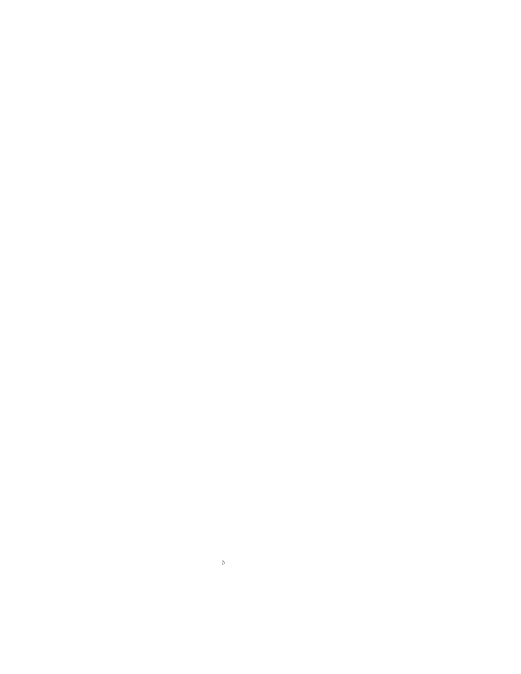$\mathfrak d$